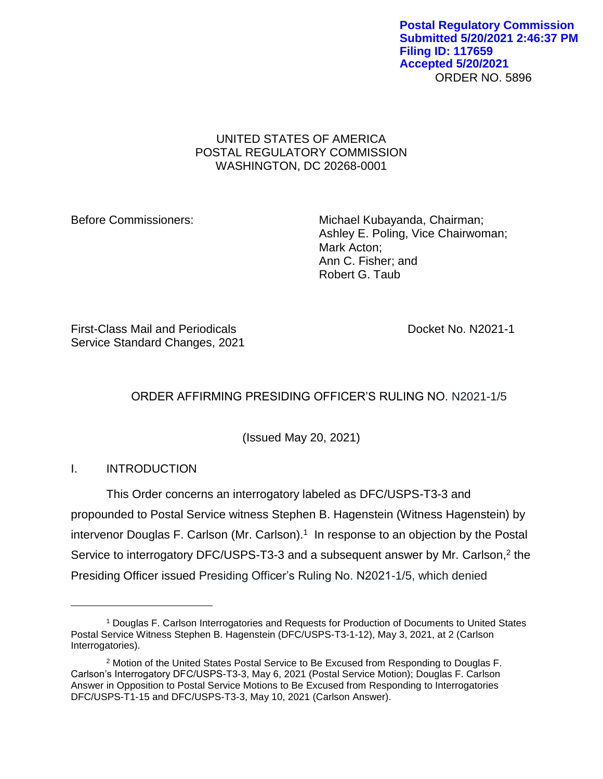## UNITED STATES OF AMERICA POSTAL REGULATORY COMMISSION WASHINGTON, DC 20268-0001

Before Commissioners: Michael Kubayanda, Chairman; Ashley E. Poling, Vice Chairwoman; Mark Acton; Ann C. Fisher; and Robert G. Taub

First-Class Mail and Periodicals Docket No. N2021-1 Service Standard Changes, 2021

# ORDER AFFIRMING PRESIDING OFFICER'S RULING NO. N2021-1/5

(Issued May 20, 2021)

## I. INTRODUCTION

 $\overline{a}$ 

This Order concerns an interrogatory labeled as DFC/USPS-T3-3 and propounded to Postal Service witness Stephen B. Hagenstein (Witness Hagenstein) by intervenor Douglas F. Carlson (Mr. Carlson).<sup>1</sup> In response to an objection by the Postal Service to interrogatory DFC/USPS-T3-3 and a subsequent answer by Mr. Carlson,<sup>2</sup> the Presiding Officer issued Presiding Officer's Ruling No. N2021-1/5, which denied

<sup>1</sup> Douglas F. Carlson Interrogatories and Requests for Production of Documents to United States Postal Service Witness Stephen B. Hagenstein (DFC/USPS-T3-1-12), May 3, 2021, at 2 (Carlson Interrogatories).

<sup>&</sup>lt;sup>2</sup> Motion of the United States Postal Service to Be Excused from Responding to Douglas F. Carlson's Interrogatory DFC/USPS-T3-3, May 6, 2021 (Postal Service Motion); Douglas F. Carlson Answer in Opposition to Postal Service Motions to Be Excused from Responding to Interrogatories DFC/USPS-T1-15 and DFC/USPS-T3-3, May 10, 2021 (Carlson Answer).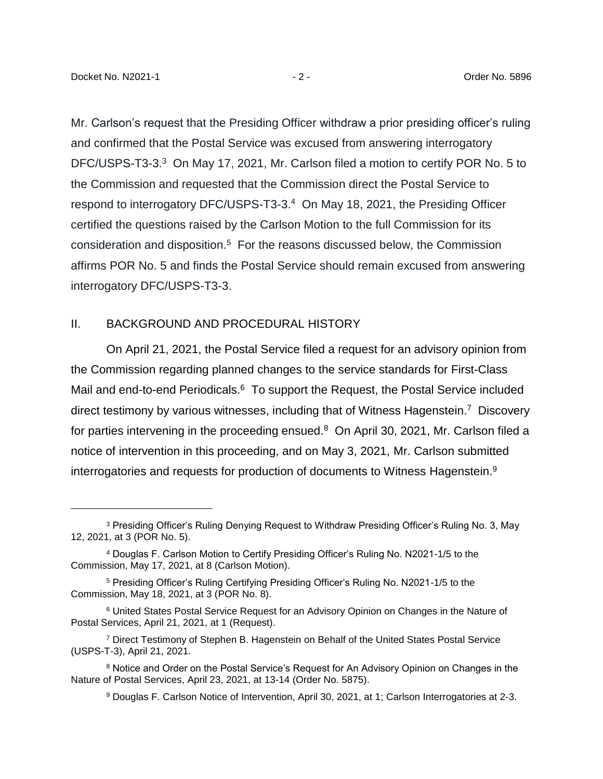$\overline{a}$ 

Mr. Carlson's request that the Presiding Officer withdraw a prior presiding officer's ruling and confirmed that the Postal Service was excused from answering interrogatory DFC/USPS-T3-3.<sup>3</sup> On May 17, 2021, Mr. Carlson filed a motion to certify POR No. 5 to the Commission and requested that the Commission direct the Postal Service to respond to interrogatory DFC/USPS-T3-3.<sup>4</sup> On May 18, 2021, the Presiding Officer certified the questions raised by the Carlson Motion to the full Commission for its consideration and disposition.<sup>5</sup> For the reasons discussed below, the Commission affirms POR No. 5 and finds the Postal Service should remain excused from answering interrogatory DFC/USPS-T3-3.

### II. BACKGROUND AND PROCEDURAL HISTORY

On April 21, 2021, the Postal Service filed a request for an advisory opinion from the Commission regarding planned changes to the service standards for First-Class Mail and end-to-end Periodicals.<sup>6</sup> To support the Request, the Postal Service included direct testimony by various witnesses, including that of Witness Hagenstein.<sup>7</sup> Discovery for parties intervening in the proceeding ensued.<sup>8</sup> On April 30, 2021, Mr. Carlson filed a notice of intervention in this proceeding, and on May 3, 2021, Mr. Carlson submitted interrogatories and requests for production of documents to Witness Hagenstein.<sup>9</sup>

<sup>3</sup> Presiding Officer's Ruling Denying Request to Withdraw Presiding Officer's Ruling No. 3, May 12, 2021, at 3 (POR No. 5).

<sup>4</sup> Douglas F. Carlson Motion to Certify Presiding Officer's Ruling No. N2021-1/5 to the Commission, May 17, 2021, at 8 (Carlson Motion).

<sup>5</sup> Presiding Officer's Ruling Certifying Presiding Officer's Ruling No. N2021-1/5 to the Commission, May 18, 2021, at 3 (POR No. 8).

<sup>6</sup> United States Postal Service Request for an Advisory Opinion on Changes in the Nature of Postal Services, April 21, 2021, at 1 (Request).

<sup>7</sup> Direct Testimony of Stephen B. Hagenstein on Behalf of the United States Postal Service (USPS-T-3), April 21, 2021.

<sup>&</sup>lt;sup>8</sup> Notice and Order on the Postal Service's Request for An Advisory Opinion on Changes in the Nature of Postal Services, April 23, 2021, at 13-14 (Order No. 5875).

<sup>9</sup> Douglas F. Carlson Notice of Intervention, April 30, 2021, at 1; Carlson Interrogatories at 2-3.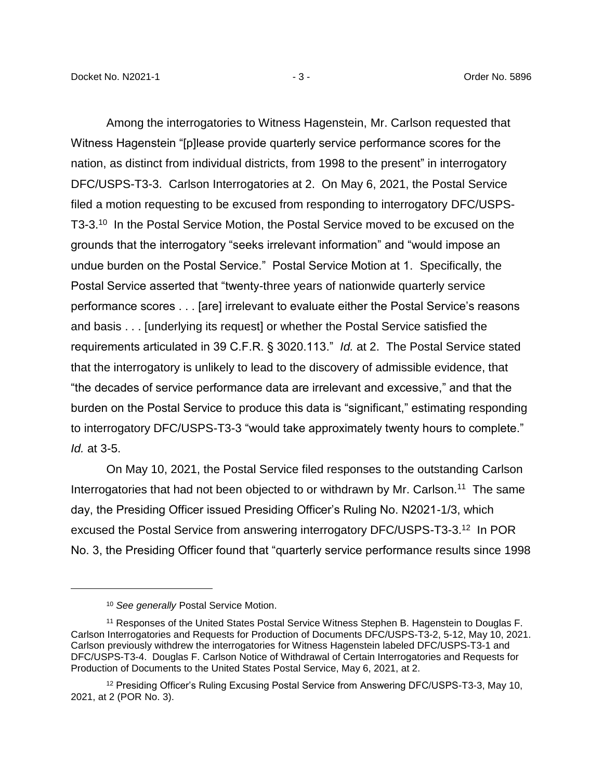Among the interrogatories to Witness Hagenstein, Mr. Carlson requested that Witness Hagenstein "[p]lease provide quarterly service performance scores for the nation, as distinct from individual districts, from 1998 to the present" in interrogatory DFC/USPS-T3-3. Carlson Interrogatories at 2. On May 6, 2021, the Postal Service filed a motion requesting to be excused from responding to interrogatory DFC/USPS-T3-3.<sup>10</sup> In the Postal Service Motion, the Postal Service moved to be excused on the grounds that the interrogatory "seeks irrelevant information" and "would impose an undue burden on the Postal Service." Postal Service Motion at 1. Specifically, the Postal Service asserted that "twenty-three years of nationwide quarterly service performance scores . . . [are] irrelevant to evaluate either the Postal Service's reasons and basis . . . [underlying its request] or whether the Postal Service satisfied the requirements articulated in 39 C.F.R. § 3020.113." *Id.* at 2. The Postal Service stated that the interrogatory is unlikely to lead to the discovery of admissible evidence, that "the decades of service performance data are irrelevant and excessive," and that the burden on the Postal Service to produce this data is "significant," estimating responding to interrogatory DFC/USPS-T3-3 "would take approximately twenty hours to complete." *Id.* at 3-5.

On May 10, 2021, the Postal Service filed responses to the outstanding Carlson Interrogatories that had not been objected to or withdrawn by Mr. Carlson.<sup>11</sup> The same day, the Presiding Officer issued Presiding Officer's Ruling No. N2021-1/3, which excused the Postal Service from answering interrogatory DFC/USPS-T3-3.<sup>12</sup> In POR No. 3, the Presiding Officer found that "quarterly service performance results since 1998

 $\overline{a}$ 

<sup>10</sup> *See generally* Postal Service Motion.

<sup>&</sup>lt;sup>11</sup> Responses of the United States Postal Service Witness Stephen B. Hagenstein to Douglas F. Carlson Interrogatories and Requests for Production of Documents DFC/USPS-T3-2, 5-12, May 10, 2021. Carlson previously withdrew the interrogatories for Witness Hagenstein labeled DFC/USPS-T3-1 and DFC/USPS-T3-4. Douglas F. Carlson Notice of Withdrawal of Certain Interrogatories and Requests for Production of Documents to the United States Postal Service, May 6, 2021, at 2.

<sup>12</sup> Presiding Officer's Ruling Excusing Postal Service from Answering DFC/USPS-T3-3, May 10, 2021, at 2 (POR No. 3).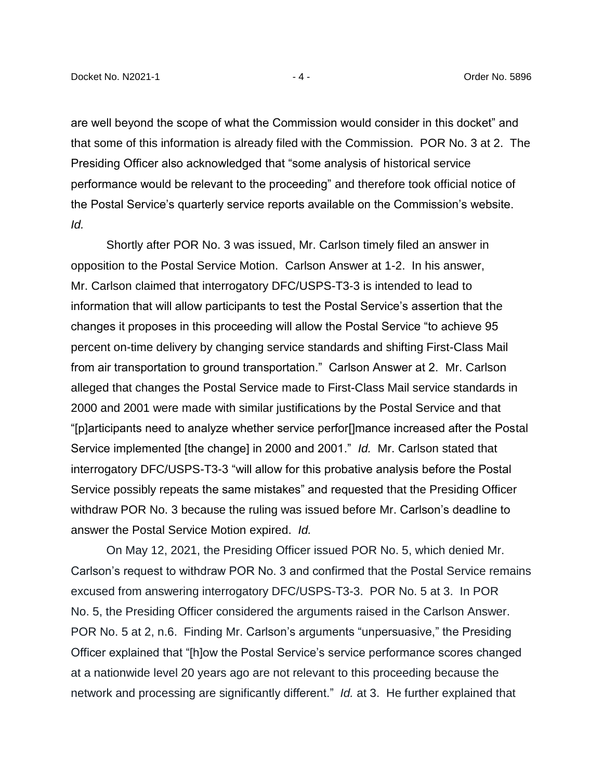are well beyond the scope of what the Commission would consider in this docket" and that some of this information is already filed with the Commission. POR No. 3 at 2. The Presiding Officer also acknowledged that "some analysis of historical service performance would be relevant to the proceeding" and therefore took official notice of the Postal Service's quarterly service reports available on the Commission's website. *Id.*

Shortly after POR No. 3 was issued, Mr. Carlson timely filed an answer in opposition to the Postal Service Motion. Carlson Answer at 1-2. In his answer, Mr. Carlson claimed that interrogatory DFC/USPS-T3-3 is intended to lead to information that will allow participants to test the Postal Service's assertion that the changes it proposes in this proceeding will allow the Postal Service "to achieve 95 percent on-time delivery by changing service standards and shifting First-Class Mail from air transportation to ground transportation." Carlson Answer at 2. Mr. Carlson alleged that changes the Postal Service made to First-Class Mail service standards in 2000 and 2001 were made with similar justifications by the Postal Service and that "[p]articipants need to analyze whether service perfor[]mance increased after the Postal Service implemented [the change] in 2000 and 2001." *Id.* Mr. Carlson stated that interrogatory DFC/USPS-T3-3 "will allow for this probative analysis before the Postal Service possibly repeats the same mistakes" and requested that the Presiding Officer withdraw POR No. 3 because the ruling was issued before Mr. Carlson's deadline to answer the Postal Service Motion expired. *Id.*

On May 12, 2021, the Presiding Officer issued POR No. 5, which denied Mr. Carlson's request to withdraw POR No. 3 and confirmed that the Postal Service remains excused from answering interrogatory DFC/USPS-T3-3. POR No. 5 at 3. In POR No. 5, the Presiding Officer considered the arguments raised in the Carlson Answer. POR No. 5 at 2, n.6. Finding Mr. Carlson's arguments "unpersuasive," the Presiding Officer explained that "[h]ow the Postal Service's service performance scores changed at a nationwide level 20 years ago are not relevant to this proceeding because the network and processing are significantly different." *Id.* at 3. He further explained that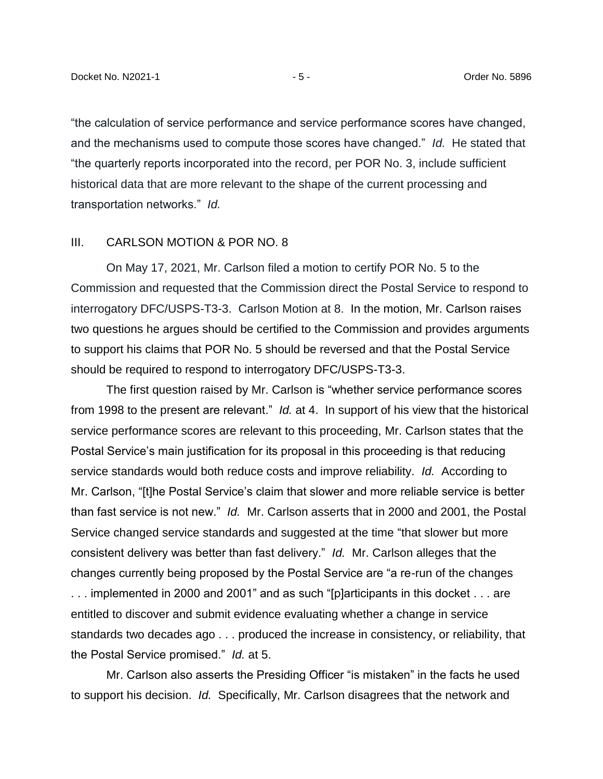"the calculation of service performance and service performance scores have changed, and the mechanisms used to compute those scores have changed." *Id.* He stated that "the quarterly reports incorporated into the record, per POR No. 3, include sufficient historical data that are more relevant to the shape of the current processing and transportation networks." *Id.*

#### III. CARLSON MOTION & POR NO. 8

On May 17, 2021, Mr. Carlson filed a motion to certify POR No. 5 to the Commission and requested that the Commission direct the Postal Service to respond to interrogatory DFC/USPS-T3-3. Carlson Motion at 8. In the motion, Mr. Carlson raises two questions he argues should be certified to the Commission and provides arguments to support his claims that POR No. 5 should be reversed and that the Postal Service should be required to respond to interrogatory DFC/USPS-T3-3.

The first question raised by Mr. Carlson is "whether service performance scores from 1998 to the present are relevant." *Id.* at 4. In support of his view that the historical service performance scores are relevant to this proceeding, Mr. Carlson states that the Postal Service's main justification for its proposal in this proceeding is that reducing service standards would both reduce costs and improve reliability. *Id.* According to Mr. Carlson, "[t]he Postal Service's claim that slower and more reliable service is better than fast service is not new." *Id.* Mr. Carlson asserts that in 2000 and 2001, the Postal Service changed service standards and suggested at the time "that slower but more consistent delivery was better than fast delivery." *Id.* Mr. Carlson alleges that the changes currently being proposed by the Postal Service are "a re-run of the changes . . . implemented in 2000 and 2001" and as such "[p]articipants in this docket . . . are entitled to discover and submit evidence evaluating whether a change in service standards two decades ago . . . produced the increase in consistency, or reliability, that the Postal Service promised." *Id.* at 5.

Mr. Carlson also asserts the Presiding Officer "is mistaken" in the facts he used to support his decision. *Id.* Specifically, Mr. Carlson disagrees that the network and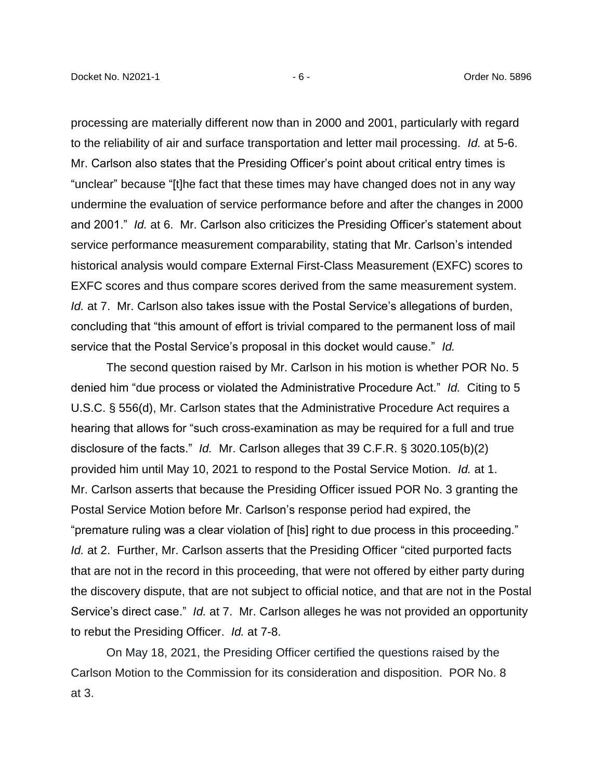processing are materially different now than in 2000 and 2001, particularly with regard to the reliability of air and surface transportation and letter mail processing. *Id.* at 5-6. Mr. Carlson also states that the Presiding Officer's point about critical entry times is "unclear" because "[t]he fact that these times may have changed does not in any way undermine the evaluation of service performance before and after the changes in 2000 and 2001." *Id.* at 6. Mr. Carlson also criticizes the Presiding Officer's statement about service performance measurement comparability, stating that Mr. Carlson's intended historical analysis would compare External First-Class Measurement (EXFC) scores to EXFC scores and thus compare scores derived from the same measurement system. *Id.* at 7. Mr. Carlson also takes issue with the Postal Service's allegations of burden, concluding that "this amount of effort is trivial compared to the permanent loss of mail service that the Postal Service's proposal in this docket would cause." *Id.*

The second question raised by Mr. Carlson in his motion is whether POR No. 5 denied him "due process or violated the Administrative Procedure Act." *Id.* Citing to 5 U.S.C. § 556(d), Mr. Carlson states that the Administrative Procedure Act requires a hearing that allows for "such cross-examination as may be required for a full and true disclosure of the facts." *Id.* Mr. Carlson alleges that 39 C.F.R. § 3020.105(b)(2) provided him until May 10, 2021 to respond to the Postal Service Motion. *Id.* at 1. Mr. Carlson asserts that because the Presiding Officer issued POR No. 3 granting the Postal Service Motion before Mr. Carlson's response period had expired, the "premature ruling was a clear violation of [his] right to due process in this proceeding." *Id.* at 2. Further, Mr. Carlson asserts that the Presiding Officer "cited purported facts that are not in the record in this proceeding, that were not offered by either party during the discovery dispute, that are not subject to official notice, and that are not in the Postal Service's direct case." *Id.* at 7. Mr. Carlson alleges he was not provided an opportunity to rebut the Presiding Officer. *Id.* at 7-8.

On May 18, 2021, the Presiding Officer certified the questions raised by the Carlson Motion to the Commission for its consideration and disposition. POR No. 8 at 3.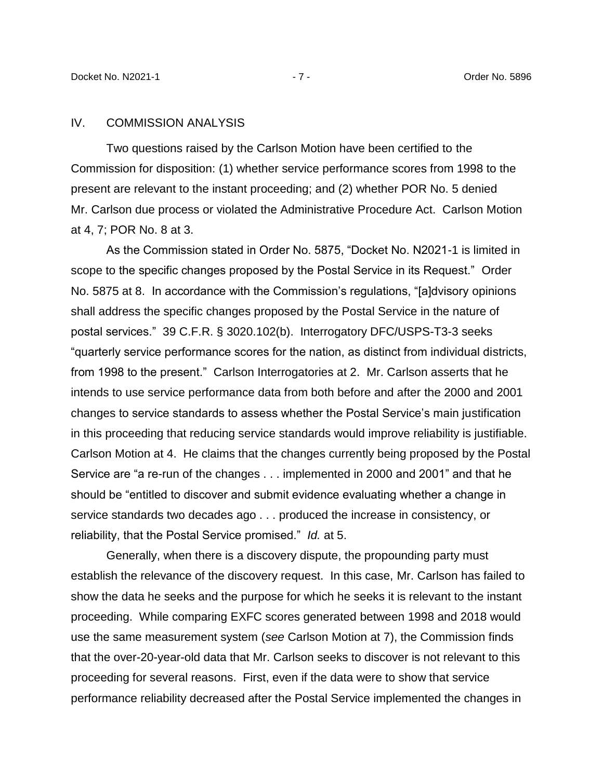#### IV. COMMISSION ANALYSIS

Two questions raised by the Carlson Motion have been certified to the Commission for disposition: (1) whether service performance scores from 1998 to the present are relevant to the instant proceeding; and (2) whether POR No. 5 denied Mr. Carlson due process or violated the Administrative Procedure Act. Carlson Motion at 4, 7; POR No. 8 at 3.

As the Commission stated in Order No. 5875, "Docket No. N2021-1 is limited in scope to the specific changes proposed by the Postal Service in its Request." Order No. 5875 at 8. In accordance with the Commission's regulations, "[a]dvisory opinions shall address the specific changes proposed by the Postal Service in the nature of postal services." 39 C.F.R. § 3020.102(b). Interrogatory DFC/USPS-T3-3 seeks "quarterly service performance scores for the nation, as distinct from individual districts, from 1998 to the present." Carlson Interrogatories at 2. Mr. Carlson asserts that he intends to use service performance data from both before and after the 2000 and 2001 changes to service standards to assess whether the Postal Service's main justification in this proceeding that reducing service standards would improve reliability is justifiable. Carlson Motion at 4. He claims that the changes currently being proposed by the Postal Service are "a re-run of the changes . . . implemented in 2000 and 2001" and that he should be "entitled to discover and submit evidence evaluating whether a change in service standards two decades ago . . . produced the increase in consistency, or reliability, that the Postal Service promised." *Id.* at 5.

Generally, when there is a discovery dispute, the propounding party must establish the relevance of the discovery request. In this case, Mr. Carlson has failed to show the data he seeks and the purpose for which he seeks it is relevant to the instant proceeding. While comparing EXFC scores generated between 1998 and 2018 would use the same measurement system (*see* Carlson Motion at 7), the Commission finds that the over-20-year-old data that Mr. Carlson seeks to discover is not relevant to this proceeding for several reasons. First, even if the data were to show that service performance reliability decreased after the Postal Service implemented the changes in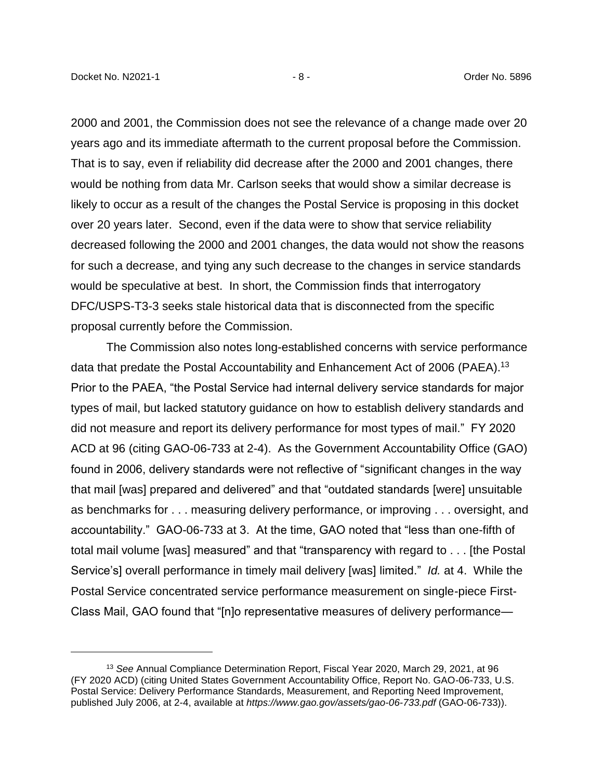$\overline{a}$ 

2000 and 2001, the Commission does not see the relevance of a change made over 20 years ago and its immediate aftermath to the current proposal before the Commission. That is to say, even if reliability did decrease after the 2000 and 2001 changes, there would be nothing from data Mr. Carlson seeks that would show a similar decrease is likely to occur as a result of the changes the Postal Service is proposing in this docket over 20 years later. Second, even if the data were to show that service reliability decreased following the 2000 and 2001 changes, the data would not show the reasons for such a decrease, and tying any such decrease to the changes in service standards would be speculative at best. In short, the Commission finds that interrogatory DFC/USPS-T3-3 seeks stale historical data that is disconnected from the specific proposal currently before the Commission.

The Commission also notes long-established concerns with service performance data that predate the Postal Accountability and Enhancement Act of 2006 (PAEA).<sup>13</sup> Prior to the PAEA, "the Postal Service had internal delivery service standards for major types of mail, but lacked statutory guidance on how to establish delivery standards and did not measure and report its delivery performance for most types of mail." FY 2020 ACD at 96 (citing GAO-06-733 at 2-4). As the Government Accountability Office (GAO) found in 2006, delivery standards were not reflective of "significant changes in the way that mail [was] prepared and delivered" and that "outdated standards [were] unsuitable as benchmarks for . . . measuring delivery performance, or improving . . . oversight, and accountability." GAO-06-733 at 3. At the time, GAO noted that "less than one-fifth of total mail volume [was] measured" and that "transparency with regard to . . . [the Postal Service's] overall performance in timely mail delivery [was] limited." *Id.* at 4. While the Postal Service concentrated service performance measurement on single-piece First-Class Mail, GAO found that "[n]o representative measures of delivery performance—

<sup>13</sup> *See* Annual Compliance Determination Report, Fiscal Year 2020, March 29, 2021, at 96 (FY 2020 ACD) (citing United States Government Accountability Office, Report No. GAO-06-733, U.S. Postal Service: Delivery Performance Standards, Measurement, and Reporting Need Improvement, published July 2006, at 2-4, available at *https://www.gao.gov/assets/gao-06-733.pdf* (GAO-06-733)).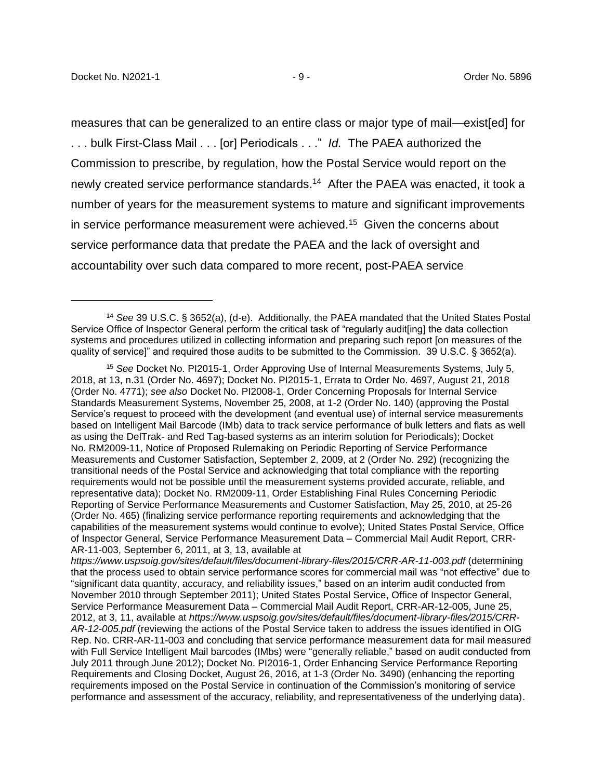$\overline{a}$ 

measures that can be generalized to an entire class or major type of mail—exist[ed] for . . . bulk First-Class Mail . . . [or] Periodicals . . ." *Id.* The PAEA authorized the Commission to prescribe, by regulation, how the Postal Service would report on the newly created service performance standards. 14 After the PAEA was enacted, it took a number of years for the measurement systems to mature and significant improvements in service performance measurement were achieved.<sup>15</sup> Given the concerns about service performance data that predate the PAEA and the lack of oversight and accountability over such data compared to more recent, post-PAEA service

<sup>14</sup> *See* 39 U.S.C. § 3652(a), (d-e). Additionally, the PAEA mandated that the United States Postal Service Office of Inspector General perform the critical task of "regularly audit[ing] the data collection systems and procedures utilized in collecting information and preparing such report [on measures of the quality of service]" and required those audits to be submitted to the Commission. 39 U.S.C. § 3652(a).

<sup>15</sup> *See* Docket No. PI2015-1, Order Approving Use of Internal Measurements Systems, July 5, 2018, at 13, n.31 (Order No. 4697); Docket No. PI2015-1, Errata to Order No. 4697, August 21, 2018 (Order No. 4771); *see also* Docket No. PI2008-1, Order Concerning Proposals for Internal Service Standards Measurement Systems, November 25, 2008, at 1-2 (Order No. 140) (approving the Postal Service's request to proceed with the development (and eventual use) of internal service measurements based on Intelligent Mail Barcode (IMb) data to track service performance of bulk letters and flats as well as using the DelTrak- and Red Tag-based systems as an interim solution for Periodicals); Docket No. RM2009-11, Notice of Proposed Rulemaking on Periodic Reporting of Service Performance Measurements and Customer Satisfaction, September 2, 2009, at 2 (Order No. 292) (recognizing the transitional needs of the Postal Service and acknowledging that total compliance with the reporting requirements would not be possible until the measurement systems provided accurate, reliable, and representative data); Docket No. RM2009-11, Order Establishing Final Rules Concerning Periodic Reporting of Service Performance Measurements and Customer Satisfaction, May 25, 2010, at 25-26 (Order No. 465) (finalizing service performance reporting requirements and acknowledging that the capabilities of the measurement systems would continue to evolve); United States Postal Service, Office of Inspector General, Service Performance Measurement Data – Commercial Mail Audit Report, CRR-AR-11-003, September 6, 2011, at 3, 13, available at

*https://www.uspsoig.gov/sites/default/files/document-library-files/2015/CRR-AR-11-003.pdf* (determining that the process used to obtain service performance scores for commercial mail was "not effective" due to "significant data quantity, accuracy, and reliability issues," based on an interim audit conducted from November 2010 through September 2011); United States Postal Service, Office of Inspector General, Service Performance Measurement Data – Commercial Mail Audit Report, CRR-AR-12-005, June 25, 2012, at 3, 11, available at *https://www.uspsoig.gov/sites/default/files/document-library-files/2015/CRR-AR-12-005.pdf* (reviewing the actions of the Postal Service taken to address the issues identified in OIG Rep. No. CRR-AR-11-003 and concluding that service performance measurement data for mail measured with Full Service Intelligent Mail barcodes (IMbs) were "generally reliable," based on audit conducted from July 2011 through June 2012); Docket No. PI2016-1, Order Enhancing Service Performance Reporting Requirements and Closing Docket, August 26, 2016, at 1-3 (Order No. 3490) (enhancing the reporting requirements imposed on the Postal Service in continuation of the Commission's monitoring of service performance and assessment of the accuracy, reliability, and representativeness of the underlying data).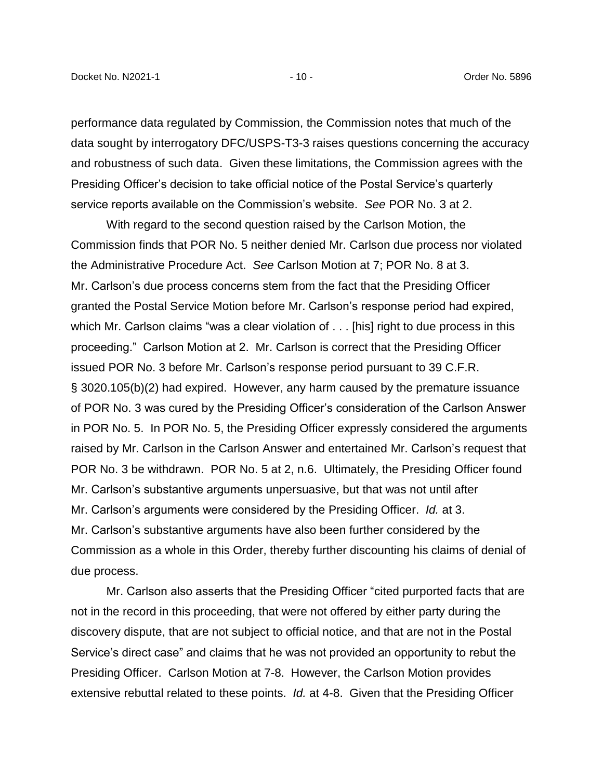performance data regulated by Commission, the Commission notes that much of the data sought by interrogatory DFC/USPS-T3-3 raises questions concerning the accuracy and robustness of such data. Given these limitations, the Commission agrees with the Presiding Officer's decision to take official notice of the Postal Service's quarterly service reports available on the Commission's website. *See* POR No. 3 at 2.

With regard to the second question raised by the Carlson Motion, the Commission finds that POR No. 5 neither denied Mr. Carlson due process nor violated the Administrative Procedure Act. *See* Carlson Motion at 7; POR No. 8 at 3. Mr. Carlson's due process concerns stem from the fact that the Presiding Officer granted the Postal Service Motion before Mr. Carlson's response period had expired, which Mr. Carlson claims "was a clear violation of . . . [his] right to due process in this proceeding." Carlson Motion at 2. Mr. Carlson is correct that the Presiding Officer issued POR No. 3 before Mr. Carlson's response period pursuant to 39 C.F.R. § 3020.105(b)(2) had expired. However, any harm caused by the premature issuance of POR No. 3 was cured by the Presiding Officer's consideration of the Carlson Answer in POR No. 5. In POR No. 5, the Presiding Officer expressly considered the arguments raised by Mr. Carlson in the Carlson Answer and entertained Mr. Carlson's request that POR No. 3 be withdrawn. POR No. 5 at 2, n.6. Ultimately, the Presiding Officer found Mr. Carlson's substantive arguments unpersuasive, but that was not until after Mr. Carlson's arguments were considered by the Presiding Officer. *Id.* at 3. Mr. Carlson's substantive arguments have also been further considered by the Commission as a whole in this Order, thereby further discounting his claims of denial of due process.

Mr. Carlson also asserts that the Presiding Officer "cited purported facts that are not in the record in this proceeding, that were not offered by either party during the discovery dispute, that are not subject to official notice, and that are not in the Postal Service's direct case" and claims that he was not provided an opportunity to rebut the Presiding Officer. Carlson Motion at 7-8. However, the Carlson Motion provides extensive rebuttal related to these points. *Id.* at 4-8. Given that the Presiding Officer